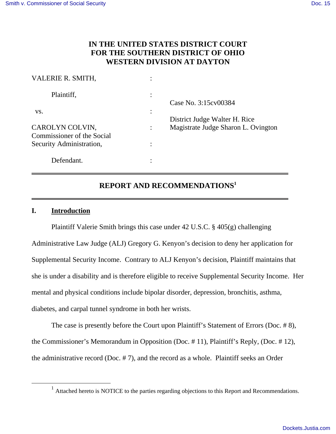# **IN THE UNITED STATES DISTRICT COURT FOR THE SOUTHERN DISTRICT OF OHIO WESTERN DIVISION AT DAYTON**

| VALERIE R. SMITH,                             |                      |                                     |
|-----------------------------------------------|----------------------|-------------------------------------|
| Plaintiff,                                    |                      | Case No. 3:15 cv 00384              |
| VS.                                           | $\bullet$<br>$\cdot$ | District Judge Walter H. Rice       |
| CAROLYN COLVIN,<br>Commissioner of the Social |                      | Magistrate Judge Sharon L. Ovington |
| Security Administration,                      |                      |                                     |
| Defendant.                                    |                      |                                     |

# **REPORT AND RECOMMENDATIONS<sup>1</sup>**

# **I. Introduction**

 $\overline{a}$ 

 Plaintiff Valerie Smith brings this case under 42 U.S.C. § 405(g) challenging Administrative Law Judge (ALJ) Gregory G. Kenyon's decision to deny her application for Supplemental Security Income. Contrary to ALJ Kenyon's decision, Plaintiff maintains that she is under a disability and is therefore eligible to receive Supplemental Security Income. Her mental and physical conditions include bipolar disorder, depression, bronchitis, asthma, diabetes, and carpal tunnel syndrome in both her wrists.

The case is presently before the Court upon Plaintiff's Statement of Errors (Doc. # 8), the Commissioner's Memorandum in Opposition (Doc. # 11), Plaintiff's Reply, (Doc. # 12), the administrative record (Doc. # 7), and the record as a whole. Plaintiff seeks an Order

<sup>&</sup>lt;sup>1</sup> Attached hereto is NOTICE to the parties regarding objections to this Report and Recommendations.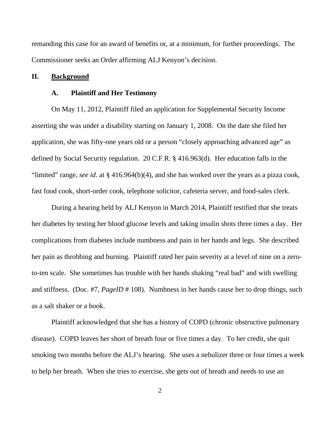remanding this case for an award of benefits or, at a minimum, for further proceedings. The Commissioner seeks an Order affirming ALJ Kenyon's decision.

### **II. Background**

#### **A. Plaintiff and Her Testimony**

 On May 11, 2012, Plaintiff filed an application for Supplemental Security Income asserting she was under a disability starting on January 1, 2008. On the date she filed her application, she was fifty-one years old or a person "closely approaching advanced age" as defined by Social Security regulation. 20 C.F.R. § 416.963(d). Her education falls in the "limited" range, *see id*. at § 416.964(b)(4), and she has worked over the years as a pizza cook, fast food cook, short-order cook, telephone solicitor, cafeteria server, and food-sales clerk.

 During a hearing held by ALJ Kenyon in March 2014, Plaintiff testified that she treats her diabetes by testing her blood glucose levels and taking insulin shots three times a day. Her complications from diabetes include numbness and pain in her hands and legs. She described her pain as throbbing and burning. Plaintiff rated her pain severity at a level of nine on a zeroto-ten scale. She sometimes has trouble with her hands shaking "real bad" and with swelling and stiffness. (Doc. #7, *PageID* # 108). Numbness in her hands cause her to drop things, such as a salt shaker or a book.

 Plaintiff acknowledged that she has a history of COPD (chronic obstructive pulmonary disease). COPD leaves her short of breath four or five times a day. To her credit, she quit smoking two months before the ALJ's hearing. She uses a nebulizer three or four times a week to help her breath. When she tries to exercise, she gets out of breath and needs to use an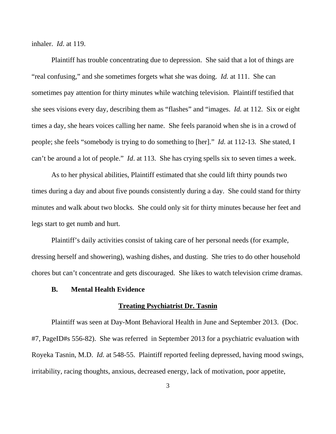inhaler. *Id*. at 119.

Plaintiff has trouble concentrating due to depression. She said that a lot of things are "real confusing," and she sometimes forgets what she was doing. *Id.* at 111. She can sometimes pay attention for thirty minutes while watching television. Plaintiff testified that she sees visions every day, describing them as "flashes" and "images. *Id.* at 112. Six or eight times a day, she hears voices calling her name. She feels paranoid when she is in a crowd of people; she feels "somebody is trying to do something to [her]." *Id.* at 112-13. She stated, I can't be around a lot of people." *Id*. at 113. She has crying spells six to seven times a week.

 As to her physical abilities, Plaintiff estimated that she could lift thirty pounds two times during a day and about five pounds consistently during a day. She could stand for thirty minutes and walk about two blocks. She could only sit for thirty minutes because her feet and legs start to get numb and hurt.

Plaintiff's daily activities consist of taking care of her personal needs (for example, dressing herself and showering), washing dishes, and dusting. She tries to do other household chores but can't concentrate and gets discouraged. She likes to watch television crime dramas.

# **B. Mental Health Evidence**

## **Treating Psychiatrist Dr. Tasnin**

Plaintiff was seen at Day-Mont Behavioral Health in June and September 2013. (Doc. #7, PageID#s 556-82). She was referred in September 2013 for a psychiatric evaluation with Royeka Tasnin, M.D. *Id.* at 548-55. Plaintiff reported feeling depressed, having mood swings, irritability, racing thoughts, anxious, decreased energy, lack of motivation, poor appetite,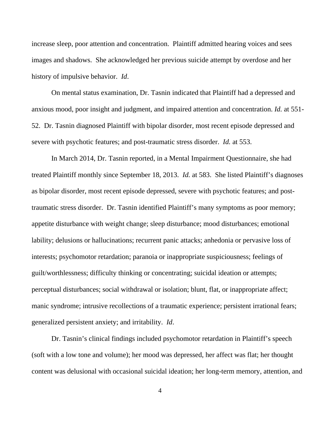increase sleep, poor attention and concentration. Plaintiff admitted hearing voices and sees images and shadows. She acknowledged her previous suicide attempt by overdose and her history of impulsive behavior. *Id*.

On mental status examination, Dr. Tasnin indicated that Plaintiff had a depressed and anxious mood, poor insight and judgment, and impaired attention and concentration. *Id.* at 551- 52. Dr. Tasnin diagnosed Plaintiff with bipolar disorder, most recent episode depressed and severe with psychotic features; and post-traumatic stress disorder. *Id.* at 553.

 In March 2014, Dr. Tasnin reported, in a Mental Impairment Questionnaire, she had treated Plaintiff monthly since September 18, 2013. *Id.* at 583. She listed Plaintiff's diagnoses as bipolar disorder, most recent episode depressed, severe with psychotic features; and posttraumatic stress disorder. Dr. Tasnin identified Plaintiff's many symptoms as poor memory; appetite disturbance with weight change; sleep disturbance; mood disturbances; emotional lability; delusions or hallucinations; recurrent panic attacks; anhedonia or pervasive loss of interests; psychomotor retardation; paranoia or inappropriate suspiciousness; feelings of guilt/worthlessness; difficulty thinking or concentrating; suicidal ideation or attempts; perceptual disturbances; social withdrawal or isolation; blunt, flat, or inappropriate affect; manic syndrome; intrusive recollections of a traumatic experience; persistent irrational fears; generalized persistent anxiety; and irritability. *Id*.

 Dr. Tasnin's clinical findings included psychomotor retardation in Plaintiff's speech (soft with a low tone and volume); her mood was depressed, her affect was flat; her thought content was delusional with occasional suicidal ideation; her long-term memory, attention, and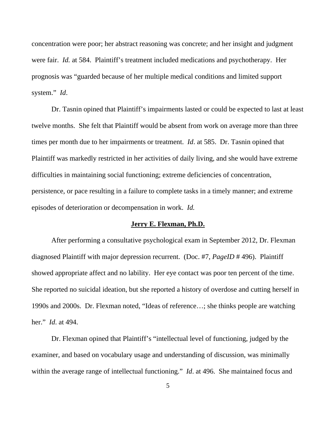concentration were poor; her abstract reasoning was concrete; and her insight and judgment were fair. *Id.* at 584. Plaintiff's treatment included medications and psychotherapy. Her prognosis was "guarded because of her multiple medical conditions and limited support system." *Id*.

Dr. Tasnin opined that Plaintiff's impairments lasted or could be expected to last at least twelve months. She felt that Plaintiff would be absent from work on average more than three times per month due to her impairments or treatment. *Id*. at 585. Dr. Tasnin opined that Plaintiff was markedly restricted in her activities of daily living, and she would have extreme difficulties in maintaining social functioning; extreme deficiencies of concentration, persistence, or pace resulting in a failure to complete tasks in a timely manner; and extreme episodes of deterioration or decompensation in work. *Id.*

## **Jerry E. Flexman, Ph.D.**

 After performing a consultative psychological exam in September 2012, Dr. Flexman diagnosed Plaintiff with major depression recurrent. (Doc. #7, *PageID* # 496). Plaintiff showed appropriate affect and no lability. Her eye contact was poor ten percent of the time. She reported no suicidal ideation, but she reported a history of overdose and cutting herself in 1990s and 2000s. Dr. Flexman noted, "Ideas of reference…; she thinks people are watching her." *Id*. at 494.

 Dr. Flexman opined that Plaintiff's "intellectual level of functioning, judged by the examiner, and based on vocabulary usage and understanding of discussion, was minimally within the average range of intellectual functioning." *Id.* at 496. She maintained focus and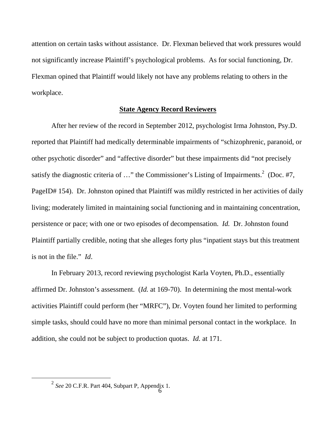attention on certain tasks without assistance. Dr. Flexman believed that work pressures would not significantly increase Plaintiff's psychological problems. As for social functioning, Dr. Flexman opined that Plaintiff would likely not have any problems relating to others in the workplace.

## **State Agency Record Reviewers**

 After her review of the record in September 2012, psychologist Irma Johnston, Psy.D. reported that Plaintiff had medically determinable impairments of "schizophrenic, paranoid, or other psychotic disorder" and "affective disorder" but these impairments did "not precisely satisfy the diagnostic criteria of ..." the Commissioner's Listing of Impairments.<sup>2</sup> (Doc. #7, PageID# 154). Dr. Johnston opined that Plaintiff was mildly restricted in her activities of daily living; moderately limited in maintaining social functioning and in maintaining concentration, persistence or pace; with one or two episodes of decompensation. *Id.* Dr. Johnston found Plaintiff partially credible, noting that she alleges forty plus "inpatient stays but this treatment is not in the file." *Id*.

 In February 2013, record reviewing psychologist Karla Voyten, Ph.D., essentially affirmed Dr. Johnston's assessment. (*Id.* at 169-70). In determining the most mental-work activities Plaintiff could perform (her "MRFC"), Dr. Voyten found her limited to performing simple tasks, should could have no more than minimal personal contact in the workplace. In addition, she could not be subject to production quotas. *Id.* at 171.

 $\overline{a}$ 

<sup>2</sup> *See* 20 C.F.R. Part 404, Subpart P, Appendix 1.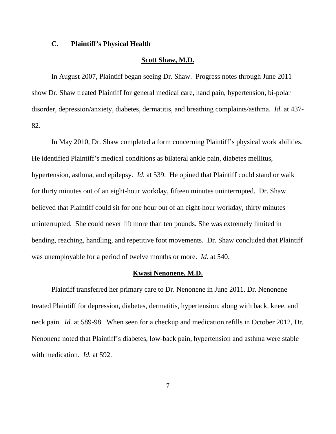# **C. Plaintiff's Physical Health**

### **Scott Shaw, M.D.**

 In August 2007, Plaintiff began seeing Dr. Shaw. Progress notes through June 2011 show Dr. Shaw treated Plaintiff for general medical care, hand pain, hypertension, bi-polar disorder, depression/anxiety, diabetes, dermatitis, and breathing complaints/asthma. *Id*. at 437- 82.

 In May 2010, Dr. Shaw completed a form concerning Plaintiff's physical work abilities. He identified Plaintiff's medical conditions as bilateral ankle pain, diabetes mellitus, hypertension, asthma, and epilepsy. *Id.* at 539. He opined that Plaintiff could stand or walk for thirty minutes out of an eight-hour workday, fifteen minutes uninterrupted. Dr. Shaw believed that Plaintiff could sit for one hour out of an eight-hour workday, thirty minutes uninterrupted. She could never lift more than ten pounds. She was extremely limited in bending, reaching, handling, and repetitive foot movements. Dr. Shaw concluded that Plaintiff was unemployable for a period of twelve months or more. *Id.* at 540.

#### **Kwasi Nenonene, M.D.**

 Plaintiff transferred her primary care to Dr. Nenonene in June 2011. Dr. Nenonene treated Plaintiff for depression, diabetes, dermatitis, hypertension, along with back, knee, and neck pain. *Id.* at 589-98. When seen for a checkup and medication refills in October 2012, Dr. Nenonene noted that Plaintiff's diabetes, low-back pain, hypertension and asthma were stable with medication. *Id.* at 592.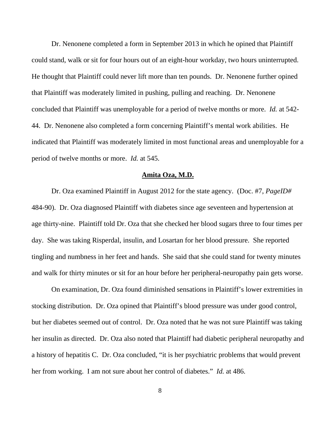Dr. Nenonene completed a form in September 2013 in which he opined that Plaintiff could stand, walk or sit for four hours out of an eight-hour workday, two hours uninterrupted. He thought that Plaintiff could never lift more than ten pounds. Dr. Nenonene further opined that Plaintiff was moderately limited in pushing, pulling and reaching. Dr. Nenonene concluded that Plaintiff was unemployable for a period of twelve months or more. *Id.* at 542- 44. Dr. Nenonene also completed a form concerning Plaintiff's mental work abilities. He indicated that Plaintiff was moderately limited in most functional areas and unemployable for a period of twelve months or more. *Id.* at 545.

# **Amita Oza, M.D.**

Dr. Oza examined Plaintiff in August 2012 for the state agency. (Doc. #7, *PageID#* 484-90). Dr. Oza diagnosed Plaintiff with diabetes since age seventeen and hypertension at age thirty-nine. Plaintiff told Dr. Oza that she checked her blood sugars three to four times per day. She was taking Risperdal, insulin, and Losartan for her blood pressure. She reported tingling and numbness in her feet and hands. She said that she could stand for twenty minutes and walk for thirty minutes or sit for an hour before her peripheral-neuropathy pain gets worse.

On examination, Dr. Oza found diminished sensations in Plaintiff's lower extremities in stocking distribution. Dr. Oza opined that Plaintiff's blood pressure was under good control, but her diabetes seemed out of control. Dr. Oza noted that he was not sure Plaintiff was taking her insulin as directed. Dr. Oza also noted that Plaintiff had diabetic peripheral neuropathy and a history of hepatitis C. Dr. Oza concluded, "it is her psychiatric problems that would prevent her from working. I am not sure about her control of diabetes." *Id.* at 486.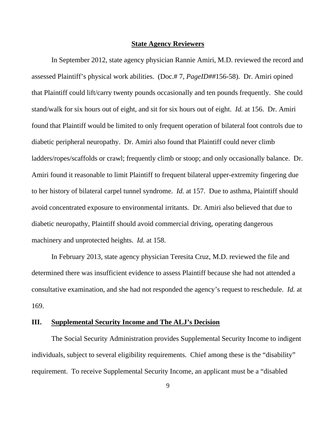#### **State Agency Reviewers**

 In September 2012, state agency physician Rannie Amiri, M.D. reviewed the record and assessed Plaintiff's physical work abilities. (Doc.# 7, *PageID##*156-58). Dr. Amiri opined that Plaintiff could lift/carry twenty pounds occasionally and ten pounds frequently. She could stand/walk for six hours out of eight, and sit for six hours out of eight. *Id.* at 156. Dr. Amiri found that Plaintiff would be limited to only frequent operation of bilateral foot controls due to diabetic peripheral neuropathy. Dr. Amiri also found that Plaintiff could never climb ladders/ropes/scaffolds or crawl; frequently climb or stoop; and only occasionally balance. Dr. Amiri found it reasonable to limit Plaintiff to frequent bilateral upper-extremity fingering due to her history of bilateral carpel tunnel syndrome. *Id.* at 157. Due to asthma, Plaintiff should avoid concentrated exposure to environmental irritants. Dr. Amiri also believed that due to diabetic neuropathy, Plaintiff should avoid commercial driving, operating dangerous machinery and unprotected heights. *Id.* at 158.

 In February 2013, state agency physician Teresita Cruz, M.D. reviewed the file and determined there was insufficient evidence to assess Plaintiff because she had not attended a consultative examination, and she had not responded the agency's request to reschedule. *Id.* at 169.

# **III. Supplemental Security Income and The ALJ's Decision**

 The Social Security Administration provides Supplemental Security Income to indigent individuals, subject to several eligibility requirements. Chief among these is the "disability" requirement. To receive Supplemental Security Income, an applicant must be a "disabled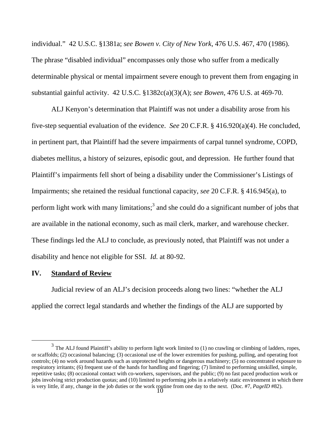individual." 42 U.S.C. §1381a; *see Bowen v. City of New York*, 476 U.S. 467, 470 (1986). The phrase "disabled individual" encompasses only those who suffer from a medically determinable physical or mental impairment severe enough to prevent them from engaging in substantial gainful activity. 42 U.S.C. §1382c(a)(3)(A); *see Bowen*, 476 U.S. at 469-70.

ALJ Kenyon's determination that Plaintiff was not under a disability arose from his five-step sequential evaluation of the evidence. *See* 20 C.F.R. § 416.920(a)(4). He concluded, in pertinent part, that Plaintiff had the severe impairments of carpal tunnel syndrome, COPD, diabetes mellitus, a history of seizures, episodic gout, and depression. He further found that Plaintiff's impairments fell short of being a disability under the Commissioner's Listings of Impairments; she retained the residual functional capacity, *see* 20 C.F.R. § 416.945(a), to perform light work with many limitations;<sup>3</sup> and she could do a significant number of jobs that are available in the national economy, such as mail clerk, marker, and warehouse checker. These findings led the ALJ to conclude, as previously noted, that Plaintiff was not under a disability and hence not eligible for SSI. *Id.* at 80-92.

# **IV. Standard of Review**

 $\overline{a}$ 

 Judicial review of an ALJ's decision proceeds along two lines: "whether the ALJ applied the correct legal standards and whether the findings of the ALJ are supported by

is very little, if any, change in the job duties or the work routine from one day to the next. (Doc.  $#7$ , *PageID*  $#82$ ).  $3$  The ALJ found Plaintiff's ability to perform light work limited to (1) no crawling or climbing of ladders, ropes, or scaffolds; (2) occasional balancing; (3) occasional use of the lower extremities for pushing, pulling, and operating foot controls; (4) no work around hazards such as unprotected heights or dangerous machinery; (5) no concentrated exposure to respiratory irritants; (6) frequent use of the hands for handling and fingering; (7) limited to performing unskilled, simple, repetitive tasks; (8) occasional contact with co-workers, supervisors, and the public; (9) no fast paced production work or jobs involving strict production quotas; and (10) limited to performing jobs in a relatively static environment in which there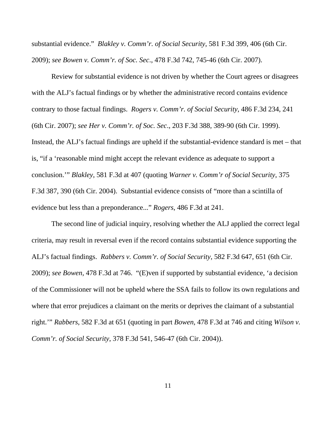substantial evidence." *Blakley v. Comm'r. of Social Security*, 581 F.3d 399, 406 (6th Cir. 2009); *see Bowen v. Comm'r. of Soc. Sec*., 478 F.3d 742, 745-46 (6th Cir. 2007).

 Review for substantial evidence is not driven by whether the Court agrees or disagrees with the ALJ's factual findings or by whether the administrative record contains evidence contrary to those factual findings. *Rogers v. Comm'r. of Social Security*, 486 F.3d 234, 241 (6th Cir. 2007); *see Her v. Comm'r. of Soc. Sec*., 203 F.3d 388, 389-90 (6th Cir. 1999). Instead, the ALJ's factual findings are upheld if the substantial-evidence standard is met – that is, "if a 'reasonable mind might accept the relevant evidence as adequate to support a conclusion.'" *Blakley*, 581 F.3d at 407 (quoting *Warner v. Comm'r of Social Security*, 375 F.3d 387, 390 (6th Cir. 2004). Substantial evidence consists of "more than a scintilla of evidence but less than a preponderance..." *Rogers*, 486 F.3d at 241.

 The second line of judicial inquiry, resolving whether the ALJ applied the correct legal criteria, may result in reversal even if the record contains substantial evidence supporting the ALJ's factual findings. *Rabbers v. Comm'r. of Social Security*, 582 F.3d 647, 651 (6th Cir. 2009); *see Bowen*, 478 F.3d at 746. "(E)ven if supported by substantial evidence, 'a decision of the Commissioner will not be upheld where the SSA fails to follow its own regulations and where that error prejudices a claimant on the merits or deprives the claimant of a substantial right.'" *Rabbers*, 582 F.3d at 651 (quoting in part *Bowen*, 478 F.3d at 746 and citing *Wilson v. Comm'r. of Social Security*, 378 F.3d 541, 546-47 (6th Cir. 2004)).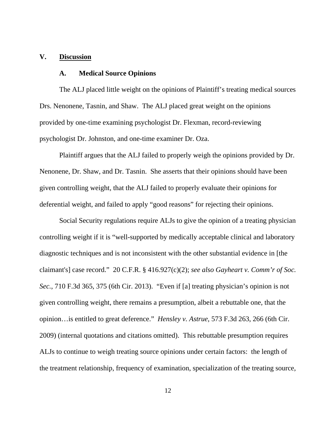## **V. Discussion**

# **A. Medical Source Opinions**

The ALJ placed little weight on the opinions of Plaintiff's treating medical sources Drs. Nenonene, Tasnin, and Shaw. The ALJ placed great weight on the opinions provided by one-time examining psychologist Dr. Flexman, record-reviewing psychologist Dr. Johnston, and one-time examiner Dr. Oza.

Plaintiff argues that the ALJ failed to properly weigh the opinions provided by Dr. Nenonene, Dr. Shaw, and Dr. Tasnin. She asserts that their opinions should have been given controlling weight, that the ALJ failed to properly evaluate their opinions for deferential weight, and failed to apply "good reasons" for rejecting their opinions.

Social Security regulations require ALJs to give the opinion of a treating physician controlling weight if it is "well-supported by medically acceptable clinical and laboratory diagnostic techniques and is not inconsistent with the other substantial evidence in [the claimant's] case record." 20 C.F.R. § 416.927(c)(2); *see also Gayheart v. Comm'r of Soc. Sec.*, 710 F.3d 365, 375 (6th Cir. 2013). "Even if [a] treating physician's opinion is not given controlling weight, there remains a presumption, albeit a rebuttable one, that the opinion…is entitled to great deference." *Hensley v. Astrue*, 573 F.3d 263, 266 (6th Cir. 2009) (internal quotations and citations omitted). This rebuttable presumption requires ALJs to continue to weigh treating source opinions under certain factors: the length of the treatment relationship, frequency of examination, specialization of the treating source,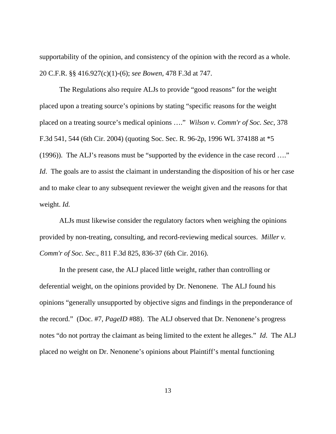supportability of the opinion, and consistency of the opinion with the record as a whole. 20 C.F.R. §§ 416.927(c)(1)-(6); *see Bowen*, 478 F.3d at 747.

The Regulations also require ALJs to provide "good reasons" for the weight placed upon a treating source's opinions by stating "specific reasons for the weight placed on a treating source's medical opinions …." *Wilson v. Comm'r of Soc. Sec*, 378 F.3d 541, 544 (6th Cir. 2004) (quoting Soc. Sec. R. 96-2p, 1996 WL 374188 at \*5 (1996)). The ALJ's reasons must be "supported by the evidence in the case record …." *Id.* The goals are to assist the claimant in understanding the disposition of his or her case and to make clear to any subsequent reviewer the weight given and the reasons for that weight. *Id.* 

ALJs must likewise consider the regulatory factors when weighing the opinions provided by non-treating, consulting, and record-reviewing medical sources. *Miller v. Comm'r of Soc. Sec*., 811 F.3d 825, 836-37 (6th Cir. 2016).

 In the present case, the ALJ placed little weight, rather than controlling or deferential weight, on the opinions provided by Dr. Nenonene. The ALJ found his opinions "generally unsupported by objective signs and findings in the preponderance of the record." (Doc. #7, *PageID* #88). The ALJ observed that Dr. Nenonene's progress notes "do not portray the claimant as being limited to the extent he alleges." *Id*. The ALJ placed no weight on Dr. Nenonene's opinions about Plaintiff's mental functioning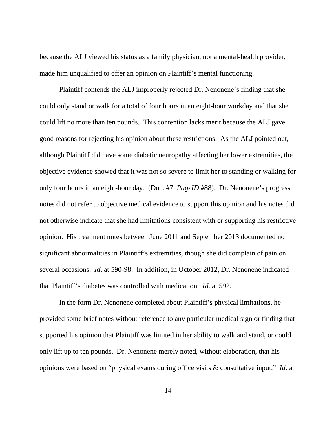because the ALJ viewed his status as a family physician, not a mental-health provider, made him unqualified to offer an opinion on Plaintiff's mental functioning.

Plaintiff contends the ALJ improperly rejected Dr. Nenonene's finding that she could only stand or walk for a total of four hours in an eight-hour workday and that she could lift no more than ten pounds. This contention lacks merit because the ALJ gave good reasons for rejecting his opinion about these restrictions. As the ALJ pointed out, although Plaintiff did have some diabetic neuropathy affecting her lower extremities, the objective evidence showed that it was not so severe to limit her to standing or walking for only four hours in an eight-hour day. (Doc. #7, *PageID #*88). Dr. Nenonene's progress notes did not refer to objective medical evidence to support this opinion and his notes did not otherwise indicate that she had limitations consistent with or supporting his restrictive opinion. His treatment notes between June 2011 and September 2013 documented no significant abnormalities in Plaintiff's extremities, though she did complain of pain on several occasions. *Id*. at 590-98. In addition, in October 2012, Dr. Nenonene indicated that Plaintiff's diabetes was controlled with medication. *Id*. at 592.

In the form Dr. Nenonene completed about Plaintiff's physical limitations, he provided some brief notes without reference to any particular medical sign or finding that supported his opinion that Plaintiff was limited in her ability to walk and stand, or could only lift up to ten pounds. Dr. Nenonene merely noted, without elaboration, that his opinions were based on "physical exams during office visits & consultative input." *Id*. at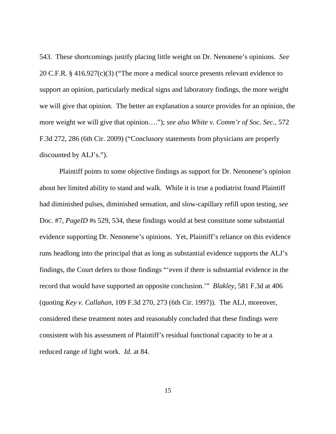543. These shortcomings justify placing little weight on Dr. Nenonene's opinions. *See* 20 C.F.R. § 416.927(c)(3) ("The more a medical source presents relevant evidence to support an opinion, particularly medical signs and laboratory findings, the more weight we will give that opinion. The better an explanation a source provides for an opinion, the more weight we will give that opinion…."); *see also White v. Comm'r of Soc. Sec.*, 572 F.3d 272, 286 (6th Cir. 2009) ("Conclusory statements from physicians are properly discounted by ALJ's.").

Plaintiff points to some objective findings as support for Dr. Nenonene's opinion about her limited ability to stand and walk. While it is true a podiatrist found Plaintiff had diminished pulses, diminished sensation, and slow-capillary refill upon testing, *see*  Doc. #7, *PageID* #s 529, 534, these findings would at best constitute some substantial evidence supporting Dr. Nenonene's opinions. Yet, Plaintiff's reliance on this evidence runs headlong into the principal that as long as substantial evidence supports the ALJ's findings, the Court defers to those findings "'even if there is substantial evidence in the record that would have supported an opposite conclusion.'" *Blakley*, 581 F.3d at 406 (quoting *Key v. Callahan*, 109 F.3d 270, 273 (6th Cir. 1997)). The ALJ, moreover, considered these treatment notes and reasonably concluded that these findings were consistent with his assessment of Plaintiff's residual functional capacity to be at a reduced range of light work. *Id*. at 84.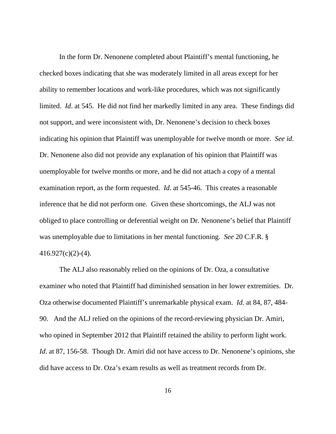In the form Dr. Nenonene completed about Plaintiff's mental functioning, he checked boxes indicating that she was moderately limited in all areas except for her ability to remember locations and work-like procedures, which was not significantly limited. *Id*. at 545. He did not find her markedly limited in any area. These findings did not support, and were inconsistent with, Dr. Nenonene's decision to check boxes indicating his opinion that Plaintiff was unemployable for twelve month or more. *See id*. Dr. Nenonene also did not provide any explanation of his opinion that Plaintiff was unemployable for twelve months or more, and he did not attach a copy of a mental examination report, as the form requested. *Id*. at 545-46. This creates a reasonable inference that he did not perform one. Given these shortcomings, the ALJ was not obliged to place controlling or deferential weight on Dr. Nenonene's belief that Plaintiff was unemployable due to limitations in her mental functioning. *See* 20 C.F.R. §  $416.927(c)(2)-(4)$ .

The ALJ also reasonably relied on the opinions of Dr. Oza, a consultative examiner who noted that Plaintiff had diminished sensation in her lower extremities. Dr. Oza otherwise documented Plaintiff's unremarkable physical exam. *Id*. at 84, 87, 484- 90. And the ALJ relied on the opinions of the record-reviewing physician Dr. Amiri, who opined in September 2012 that Plaintiff retained the ability to perform light work. *Id.* at 87, 156-58. Though Dr. Amiri did not have access to Dr. Nenonene's opinions, she did have access to Dr. Oza's exam results as well as treatment records from Dr.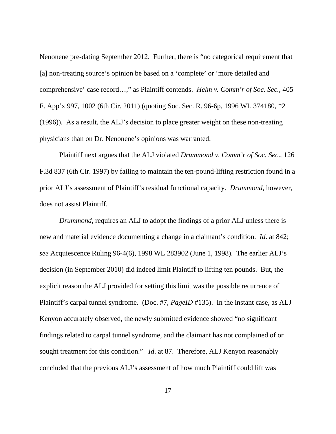Nenonene pre-dating September 2012. Further, there is "no categorical requirement that [a] non-treating source's opinion be based on a 'complete' or 'more detailed and comprehensive' case record…," as Plaintiff contends. *Helm v. Comm'r of Soc. Sec.*, 405 F. App'x 997, 1002 (6th Cir. 2011) (quoting Soc. Sec. R. 96-6p, 1996 WL 374180, \*2 (1996)). As a result, the ALJ's decision to place greater weight on these non-treating physicians than on Dr. Nenonene's opinions was warranted.

 Plaintiff next argues that the ALJ violated *Drummond v. Comm'r of Soc. Sec*., 126 F.3d 837 (6th Cir. 1997) by failing to maintain the ten-pound-lifting restriction found in a prior ALJ's assessment of Plaintiff's residual functional capacity. *Drummond*, however, does not assist Plaintiff.

*Drummond*, requires an ALJ to adopt the findings of a prior ALJ unless there is new and material evidence documenting a change in a claimant's condition. *Id*. at 842; *see* Acquiescence Ruling 96-4(6), 1998 WL 283902 (June 1, 1998). The earlier ALJ's decision (in September 2010) did indeed limit Plaintiff to lifting ten pounds. But, the explicit reason the ALJ provided for setting this limit was the possible recurrence of Plaintiff's carpal tunnel syndrome. (Doc. #7, *PageID* #135). In the instant case, as ALJ Kenyon accurately observed, the newly submitted evidence showed "no significant findings related to carpal tunnel syndrome, and the claimant has not complained of or sought treatment for this condition." *Id.* at 87. Therefore, ALJ Kenyon reasonably concluded that the previous ALJ's assessment of how much Plaintiff could lift was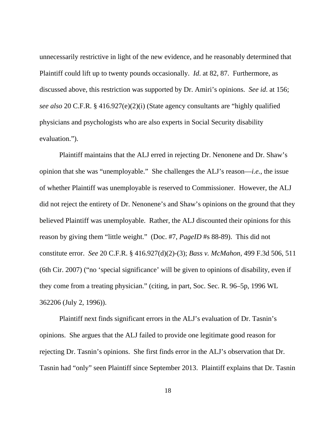unnecessarily restrictive in light of the new evidence, and he reasonably determined that Plaintiff could lift up to twenty pounds occasionally. *Id*. at 82, 87. Furthermore, as discussed above, this restriction was supported by Dr. Amiri's opinions. *See id*. at 156; *see also* 20 C.F.R. § 416.927(e)(2)(i) (State agency consultants are "highly qualified physicians and psychologists who are also experts in Social Security disability evaluation.").

Plaintiff maintains that the ALJ erred in rejecting Dr. Nenonene and Dr. Shaw's opinion that she was "unemployable." She challenges the ALJ's reason—*i.e.*, the issue of whether Plaintiff was unemployable is reserved to Commissioner. However, the ALJ did not reject the entirety of Dr. Nenonene's and Shaw's opinions on the ground that they believed Plaintiff was unemployable. Rather, the ALJ discounted their opinions for this reason by giving them "little weight." (Doc. #7, *PageID* #s 88-89). This did not constitute error. *See* 20 C.F.R. § 416.927(d)(2)-(3); *Bass v. McMahon*, 499 F.3d 506, 511 (6th Cir. 2007) ("no 'special significance' will be given to opinions of disability, even if they come from a treating physician." (citing, in part, Soc. Sec. R. 96–5p, 1996 WL 362206 (July 2, 1996)).

 Plaintiff next finds significant errors in the ALJ's evaluation of Dr. Tasnin's opinions. She argues that the ALJ failed to provide one legitimate good reason for rejecting Dr. Tasnin's opinions. She first finds error in the ALJ's observation that Dr. Tasnin had "only" seen Plaintiff since September 2013. Plaintiff explains that Dr. Tasnin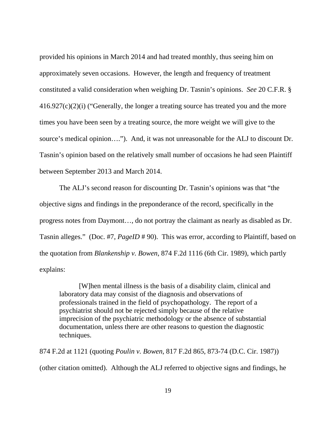provided his opinions in March 2014 and had treated monthly, thus seeing him on approximately seven occasions. However, the length and frequency of treatment constituted a valid consideration when weighing Dr. Tasnin's opinions. *See* 20 C.F.R. § 416.927(c)(2)(i) ("Generally, the longer a treating source has treated you and the more times you have been seen by a treating source, the more weight we will give to the source's medical opinion…."). And, it was not unreasonable for the ALJ to discount Dr. Tasnin's opinion based on the relatively small number of occasions he had seen Plaintiff between September 2013 and March 2014.

 The ALJ's second reason for discounting Dr. Tasnin's opinions was that "the objective signs and findings in the preponderance of the record, specifically in the progress notes from Daymont…, do not portray the claimant as nearly as disabled as Dr. Tasnin alleges." (Doc. #7, *PageID* # 90). This was error, according to Plaintiff, based on the quotation from *Blankenship v. Bowen*, 874 F.2d 1116 (6th Cir. 1989), which partly explains:

[W]hen mental illness is the basis of a disability claim, clinical and laboratory data may consist of the diagnosis and observations of professionals trained in the field of psychopathology. The report of a psychiatrist should not be rejected simply because of the relative imprecision of the psychiatric methodology or the absence of substantial documentation, unless there are other reasons to question the diagnostic techniques.

874 F.2d at 1121 (quoting *Poulin v. Bowen*, 817 F.2d 865, 873-74 (D.C. Cir. 1987)) (other citation omitted). Although the ALJ referred to objective signs and findings, he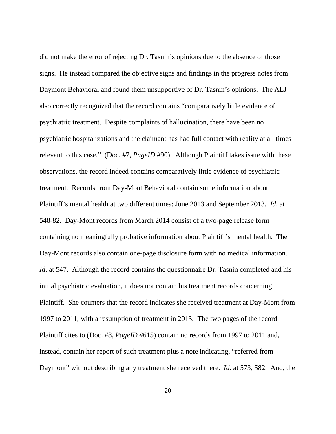did not make the error of rejecting Dr. Tasnin's opinions due to the absence of those signs. He instead compared the objective signs and findings in the progress notes from Daymont Behavioral and found them unsupportive of Dr. Tasnin's opinions. The ALJ also correctly recognized that the record contains "comparatively little evidence of psychiatric treatment. Despite complaints of hallucination, there have been no psychiatric hospitalizations and the claimant has had full contact with reality at all times relevant to this case." (Doc. #7, *PageID* #90). Although Plaintiff takes issue with these observations, the record indeed contains comparatively little evidence of psychiatric treatment. Records from Day-Mont Behavioral contain some information about Plaintiff's mental health at two different times: June 2013 and September 2013. *Id*. at 548-82. Day-Mont records from March 2014 consist of a two-page release form containing no meaningfully probative information about Plaintiff's mental health. The Day-Mont records also contain one-page disclosure form with no medical information. *Id.* at 547. Although the record contains the questionnaire Dr. Tasnin completed and his initial psychiatric evaluation, it does not contain his treatment records concerning Plaintiff. She counters that the record indicates she received treatment at Day-Mont from 1997 to 2011, with a resumption of treatment in 2013. The two pages of the record Plaintiff cites to (Doc. #8, *PageID #*615) contain no records from 1997 to 2011 and, instead, contain her report of such treatment plus a note indicating, "referred from Daymont" without describing any treatment she received there. *Id*. at 573, 582. And, the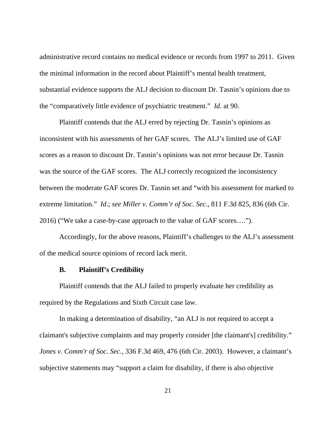administrative record contains no medical evidence or records from 1997 to 2011. Given the minimal information in the record about Plaintiff's mental health treatment, substantial evidence supports the ALJ decision to discount Dr. Tasnin's opinions due to the "comparatively little evidence of psychiatric treatment." *Id*. at 90.

 Plaintiff contends that the ALJ erred by rejecting Dr. Tasnin's opinions as inconsistent with his assessments of her GAF scores. The ALJ's limited use of GAF scores as a reason to discount Dr. Tasnin's opinions was not error because Dr. Tasnin was the source of the GAF scores. The ALJ correctly recognized the inconsistency between the moderate GAF scores Dr. Tasnin set and "with his assessment for marked to extreme limitation." *Id*.; *see Miller v. Comm'r of Soc. Sec*., 811 F.3d 825, 836 (6th Cir. 2016) ("We take a case-by-case approach to the value of GAF scores….").

 Accordingly, for the above reasons, Plaintiff's challenges to the ALJ's assessment of the medical source opinions of record lack merit.

# **B. Plaintiff's Credibility**

 Plaintiff contends that the ALJ failed to properly evaluate her credibility as required by the Regulations and Sixth Circuit case law.

In making a determination of disability, "an ALJ is not required to accept a claimant's subjective complaints and may properly consider [the claimant's] credibility." *Jones v. Comm'r of Soc. Sec.*, 336 F.3d 469, 476 (6th Cir. 2003). However, a claimant's subjective statements may "support a claim for disability, if there is also objective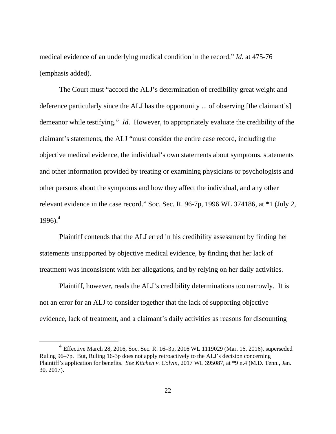medical evidence of an underlying medical condition in the record." *Id.* at 475-76 (emphasis added).

The Court must "accord the ALJ's determination of credibility great weight and deference particularly since the ALJ has the opportunity ... of observing [the claimant's] demeanor while testifying." *Id*. However, to appropriately evaluate the credibility of the claimant's statements, the ALJ "must consider the entire case record, including the objective medical evidence, the individual's own statements about symptoms, statements and other information provided by treating or examining physicians or psychologists and other persons about the symptoms and how they affect the individual, and any other relevant evidence in the case record." Soc. Sec. R. 96-7p, 1996 WL 374186, at \*1 (July 2,  $1996$ .<sup>4</sup>

Plaintiff contends that the ALJ erred in his credibility assessment by finding her statements unsupported by objective medical evidence, by finding that her lack of treatment was inconsistent with her allegations, and by relying on her daily activities.

Plaintiff, however, reads the ALJ's credibility determinations too narrowly. It is not an error for an ALJ to consider together that the lack of supporting objective evidence, lack of treatment, and a claimant's daily activities as reasons for discounting

<u>.</u>

<sup>4</sup> Effective March 28, 2016, Soc. Sec. R. 16–3p, 2016 WL 1119029 (Mar. 16, 2016), superseded Ruling 96–7p. But, Ruling 16-3p does not apply retroactively to the ALJ's decision concerning Plaintiff's application for benefits. *See Kitchen v. Colvin*, 2017 WL 395087, at \*9 n.4 (M.D. Tenn., Jan. 30, 2017).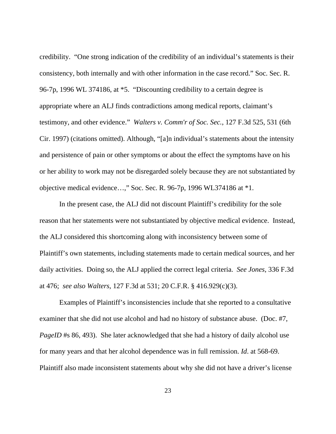credibility. "One strong indication of the credibility of an individual's statements is their consistency, both internally and with other information in the case record." Soc. Sec. R. 96-7p, 1996 WL 374186, at \*5. "Discounting credibility to a certain degree is appropriate where an ALJ finds contradictions among medical reports, claimant's testimony, and other evidence." *Walters v. Comm'r of Soc. Sec.*, 127 F.3d 525, 531 (6th Cir. 1997) (citations omitted). Although, "[a]n individual's statements about the intensity and persistence of pain or other symptoms or about the effect the symptoms have on his or her ability to work may not be disregarded solely because they are not substantiated by objective medical evidence…," Soc. Sec. R. 96-7p, 1996 WL374186 at \*1.

In the present case, the ALJ did not discount Plaintiff's credibility for the sole reason that her statements were not substantiated by objective medical evidence. Instead, the ALJ considered this shortcoming along with inconsistency between some of Plaintiff's own statements, including statements made to certain medical sources, and her daily activities. Doing so, the ALJ applied the correct legal criteria. *See Jones*, 336 F.3d at 476; *see also Walters*, 127 F.3d at 531; 20 C.F.R. § 416.929(c)(3).

Examples of Plaintiff's inconsistencies include that she reported to a consultative examiner that she did not use alcohol and had no history of substance abuse. (Doc. #7, *PageID* #s 86, 493). She later acknowledged that she had a history of daily alcohol use for many years and that her alcohol dependence was in full remission. *Id*. at 568-69. Plaintiff also made inconsistent statements about why she did not have a driver's license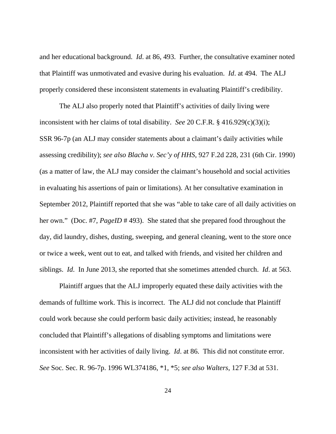and her educational background. *Id*. at 86, 493. Further, the consultative examiner noted that Plaintiff was unmotivated and evasive during his evaluation. *Id*. at 494. The ALJ properly considered these inconsistent statements in evaluating Plaintiff's credibility.

 The ALJ also properly noted that Plaintiff's activities of daily living were inconsistent with her claims of total disability. *See* 20 C.F.R. § 416.929(c)(3)(i); SSR 96-7p (an ALJ may consider statements about a claimant's daily activities while assessing credibility); *see also Blacha v. Sec'y of HHS*, 927 F.2d 228, 231 (6th Cir. 1990) (as a matter of law, the ALJ may consider the claimant's household and social activities in evaluating his assertions of pain or limitations). At her consultative examination in September 2012, Plaintiff reported that she was "able to take care of all daily activities on her own." (Doc. #7, *PageID* # 493). She stated that she prepared food throughout the day, did laundry, dishes, dusting, sweeping, and general cleaning, went to the store once or twice a week, went out to eat, and talked with friends, and visited her children and siblings. *Id*. In June 2013, she reported that she sometimes attended church. *Id*. at 563.

Plaintiff argues that the ALJ improperly equated these daily activities with the demands of fulltime work. This is incorrect. The ALJ did not conclude that Plaintiff could work because she could perform basic daily activities; instead, he reasonably concluded that Plaintiff's allegations of disabling symptoms and limitations were inconsistent with her activities of daily living. *Id*. at 86. This did not constitute error. *See* Soc. Sec. R. 96-7p. 1996 WL374186, \*1, \*5; *see also Walters*, 127 F.3d at 531.

24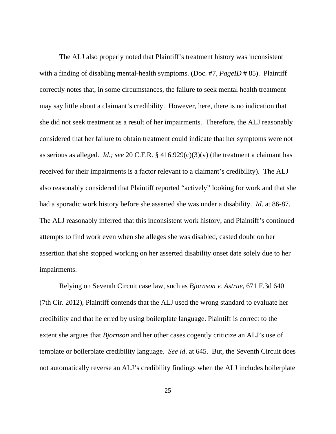The ALJ also properly noted that Plaintiff's treatment history was inconsistent with a finding of disabling mental-health symptoms. (Doc. #7, *PageID* # 85). Plaintiff correctly notes that, in some circumstances, the failure to seek mental health treatment may say little about a claimant's credibility. However, here, there is no indication that she did not seek treatment as a result of her impairments. Therefore, the ALJ reasonably considered that her failure to obtain treatment could indicate that her symptoms were not as serious as alleged. *Id.; see* 20 C.F.R. § 416.929(c)(3)(v) (the treatment a claimant has received for their impairments is a factor relevant to a claimant's credibility). The ALJ also reasonably considered that Plaintiff reported "actively" looking for work and that she had a sporadic work history before she asserted she was under a disability. *Id*. at 86-87. The ALJ reasonably inferred that this inconsistent work history, and Plaintiff's continued attempts to find work even when she alleges she was disabled, casted doubt on her assertion that she stopped working on her asserted disability onset date solely due to her impairments.

Relying on Seventh Circuit case law, such as *Bjornson v. Astrue*, 671 F.3d 640 (7th Cir. 2012), Plaintiff contends that the ALJ used the wrong standard to evaluate her credibility and that he erred by using boilerplate language. Plaintiff is correct to the extent she argues that *Bjornson* and her other cases cogently criticize an ALJ's use of template or boilerplate credibility language. *See id*. at 645. But, the Seventh Circuit does not automatically reverse an ALJ's credibility findings when the ALJ includes boilerplate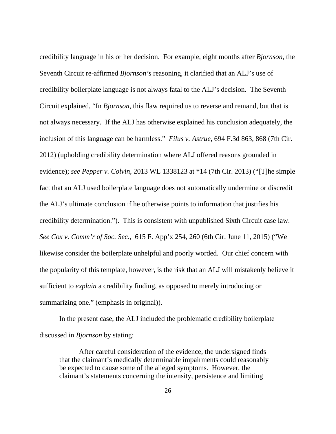credibility language in his or her decision. For example, eight months after *Bjornson*, the Seventh Circuit re-affirmed *Bjornson's* reasoning, it clarified that an ALJ's use of credibility boilerplate language is not always fatal to the ALJ's decision. The Seventh Circuit explained, "In *Bjornson*, this flaw required us to reverse and remand, but that is not always necessary. If the ALJ has otherwise explained his conclusion adequately, the inclusion of this language can be harmless." *Filus v. Astrue*, 694 F.3d 863, 868 (7th Cir. 2012) (upholding credibility determination where ALJ offered reasons grounded in evidence); *see Pepper v. Colvin*, 2013 WL 1338123 at \*14 (7th Cir. 2013) ("[T]he simple fact that an ALJ used boilerplate language does not automatically undermine or discredit the ALJ's ultimate conclusion if he otherwise points to information that justifies his credibility determination."). This is consistent with unpublished Sixth Circuit case law. *See Cox v. Comm'r of Soc. Sec.*, 615 F. App'x 254, 260 (6th Cir. June 11, 2015) ("We likewise consider the boilerplate unhelpful and poorly worded. Our chief concern with the popularity of this template, however, is the risk that an ALJ will mistakenly believe it sufficient to *explain* a credibility finding, as opposed to merely introducing or summarizing one." (emphasis in original)).

In the present case, the ALJ included the problematic credibility boilerplate discussed in *Bjornson* by stating:

After careful consideration of the evidence, the undersigned finds that the claimant's medically determinable impairments could reasonably be expected to cause some of the alleged symptoms. However, the claimant's statements concerning the intensity, persistence and limiting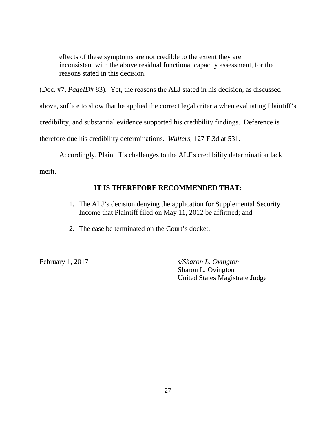effects of these symptoms are not credible to the extent they are inconsistent with the above residual functional capacity assessment, for the reasons stated in this decision.

(Doc. #7, *PageID*# 83). Yet, the reasons the ALJ stated in his decision, as discussed

above, suffice to show that he applied the correct legal criteria when evaluating Plaintiff's

credibility, and substantial evidence supported his credibility findings. Deference is

therefore due his credibility determinations. *Walters*, 127 F.3d at 531.

Accordingly, Plaintiff's challenges to the ALJ's credibility determination lack

merit.

# **IT IS THEREFORE RECOMMENDED THAT:**

- 1. The ALJ's decision denying the application for Supplemental Security Income that Plaintiff filed on May 11, 2012 be affirmed; and
- 2. The case be terminated on the Court's docket.

February 1, 2017 *s/Sharon L. Ovington*  Sharon L. Ovington United States Magistrate Judge